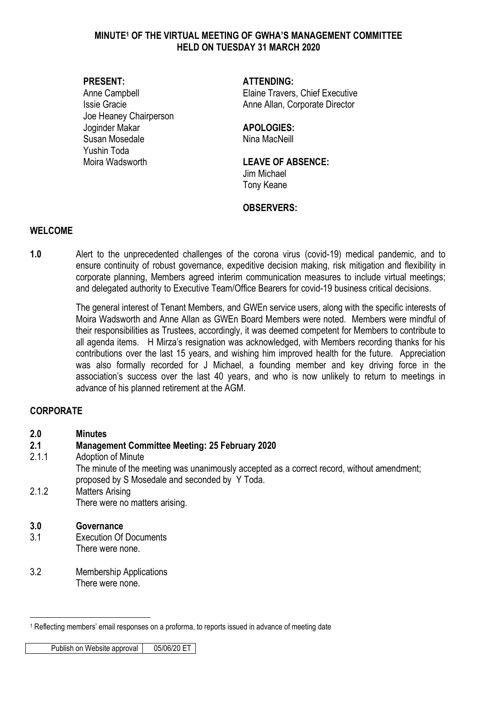#### **MINUTE<sup>1</sup> OF THE VIRTUAL MEETING OF GWHA'S MANAGEMENT COMMITTEE HELD ON TUESDAY 31 MARCH 2020**

Joe Heaney Chairperson Joginder Makar **APOLOGIES:** Susan Mosedale Nina MacNeill Yushin Toda Moira Wadsworth **LEAVE OF ABSENCE:** 

#### **PRESENT: ATTENDING:**

Anne Campbell **Elaine Travers**, Chief Executive Issie Gracie **Anne Allan, Corporate Director** Anne Allan, Corporate Director

Jim Michael Tony Keane

#### **OBSERVERS:**

#### **WELCOME**

**1.0** Alert to the unprecedented challenges of the corona virus (covid-19) medical pandemic, and to ensure continuity of robust governance, expeditive decision making, risk mitigation and flexibility in corporate planning, Members agreed interim communication measures to include virtual meetings; and delegated authority to Executive Team/Office Bearers for covid-19 business critical decisions.

> The general interest of Tenant Members, and GWEn service users, along with the specific interests of Moira Wadsworth and Anne Allan as GWEn Board Members were noted. Members were mindful of their responsibilities as Trustees, accordingly, it was deemed competent for Members to contribute to all agenda items. H Mirza's resignation was acknowledged, with Members recording thanks for his contributions over the last 15 years, and wishing him improved health for the future. Appreciation was also formally recorded for J Michael, a founding member and key driving force in the association's success over the last 40 years, and who is now unlikely to return to meetings in advance of his planned retirement at the AGM.

### **CORPORATE**

**2.0 Minutes**

### **2.1 Management Committee Meeting: 25 February 2020**

2.1.1 Adoption of Minute

The minute of the meeting was unanimously accepted as a correct record, without amendment; proposed by S Mosedale and seconded by Y Toda.

2.1.2 Matters Arising There were no matters arising.

#### **3.0 Governance**

<u>.</u>

- 3.1 Execution Of Documents There were none.
- 3.2 Membership Applications There were none.

Publish on Website approval | 05/06/20 ET

<sup>1</sup> Reflecting members' email responses on a proforma, to reports issued in advance of meeting date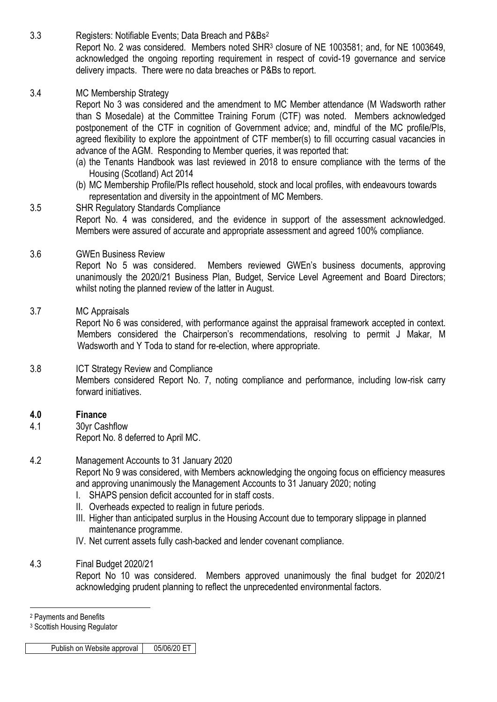3.3 Registers: Notifiable Events; Data Breach and P&Bs<sup>2</sup> Report No. 2 was considered. Members noted SHR<sup>3</sup> closure of NE 1003581; and, for NE 1003649, acknowledged the ongoing reporting requirement in respect of covid-19 governance and service delivery impacts. There were no data breaches or P&Bs to report.

#### 3.4 MC Membership Strategy

Report No 3 was considered and the amendment to MC Member attendance (M Wadsworth rather than S Mosedale) at the Committee Training Forum (CTF) was noted. Members acknowledged postponement of the CTF in cognition of Government advice; and, mindful of the MC profile/PIs, agreed flexibility to explore the appointment of CTF member(s) to fill occurring casual vacancies in advance of the AGM. Responding to Member queries, it was reported that:

- (a) the Tenants Handbook was last reviewed in 2018 to ensure compliance with the terms of the Housing (Scotland) Act 2014
- (b) MC Membership Profile/PIs reflect household, stock and local profiles, with endeavours towards representation and diversity in the appointment of MC Members.
- 3.5 SHR Regulatory Standards Compliance Report No. 4 was considered, and the evidence in support of the assessment acknowledged. Members were assured of accurate and appropriate assessment and agreed 100% compliance.

#### 3.6 GWEn Business Review

Report No 5 was considered. Members reviewed GWEn's business documents, approving unanimously the 2020/21 Business Plan, Budget, Service Level Agreement and Board Directors; whilst noting the planned review of the latter in August.

#### 3.7 MC Appraisals

Report No 6 was considered, with performance against the appraisal framework accepted in context. Members considered the Chairperson's recommendations, resolving to permit J Makar, M Wadsworth and Y Toda to stand for re-election, where appropriate.

#### 3.8 ICT Strategy Review and Compliance Members considered Report No. 7, noting compliance and performance, including low-risk carry forward initiatives.

#### **4.0 Finance**

4.1 30yr Cashflow Report No. 8 deferred to April MC.

4.2 Management Accounts to 31 January 2020 Report No 9 was considered, with Members acknowledging the ongoing focus on efficiency measures and approving unanimously the Management Accounts to 31 January 2020; noting

- I. SHAPS pension deficit accounted for in staff costs.
- II. Overheads expected to realign in future periods.
- III. Higher than anticipated surplus in the Housing Account due to temporary slippage in planned maintenance programme.
- IV. Net current assets fully cash-backed and lender covenant compliance.
- 4.3 Final Budget 2020/21

Report No 10 was considered. Members approved unanimously the final budget for 2020/21 acknowledging prudent planning to reflect the unprecedented environmental factors.

<sup>&</sup>lt;u>.</u> <sup>2</sup> Payments and Benefits

<sup>3</sup> Scottish Housing Regulator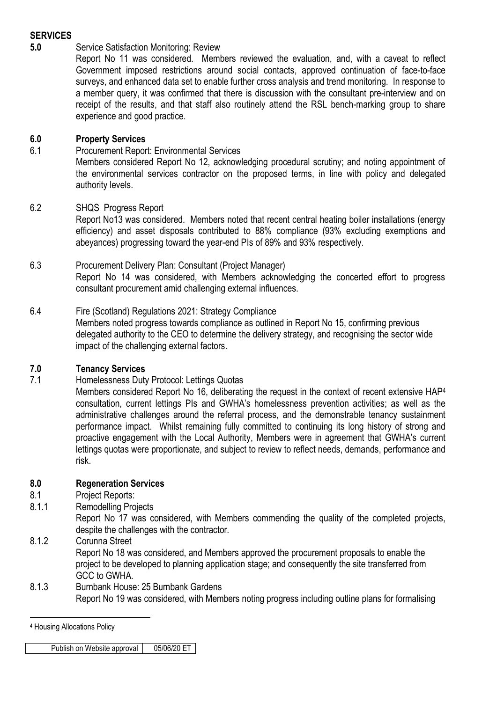# **SERVICES**

# **5.0** Service Satisfaction Monitoring: Review

Report No 11 was considered. Members reviewed the evaluation, and, with a caveat to reflect Government imposed restrictions around social contacts, approved continuation of face-to-face surveys, and enhanced data set to enable further cross analysis and trend monitoring. In response to a member query, it was confirmed that there is discussion with the consultant pre-interview and on receipt of the results, and that staff also routinely attend the RSL bench-marking group to share experience and good practice.

# **6.0 Property Services**

6.1 Procurement Report: Environmental Services

Members considered Report No 12, acknowledging procedural scrutiny; and noting appointment of the environmental services contractor on the proposed terms, in line with policy and delegated authority levels.

# 6.2 SHQS Progress Report

Report No13 was considered. Members noted that recent central heating boiler installations (energy efficiency) and asset disposals contributed to 88% compliance (93% excluding exemptions and abeyances) progressing toward the year-end PIs of 89% and 93% respectively.

#### 6.3 Procurement Delivery Plan: Consultant (Project Manager)

Report No 14 was considered, with Members acknowledging the concerted effort to progress consultant procurement amid challenging external influences.

### 6.4 Fire (Scotland) Regulations 2021: Strategy Compliance

Members noted progress towards compliance as outlined in Report No 15, confirming previous delegated authority to the CEO to determine the delivery strategy, and recognising the sector wide impact of the challenging external factors.

### **7.0 Tenancy Services**

7.1 Homelessness Duty Protocol: Lettings Quotas

Members considered Report No 16, deliberating the request in the context of recent extensive HAP<sup>4</sup> consultation, current lettings PIs and GWHA's homelessness prevention activities; as well as the administrative challenges around the referral process, and the demonstrable tenancy sustainment performance impact. Whilst remaining fully committed to continuing its long history of strong and proactive engagement with the Local Authority, Members were in agreement that GWHA's current lettings quotas were proportionate, and subject to review to reflect needs, demands, performance and risk.

### **8.0 Regeneration Services**

- 8.1 Project Reports:
- 8.1.1 Remodelling Projects
	- Report No 17 was considered, with Members commending the quality of the completed projects, despite the challenges with the contractor.
- 8.1.2 Corunna Street

Report No 18 was considered, and Members approved the procurement proposals to enable the project to be developed to planning application stage; and consequently the site transferred from GCC to GWHA.

8.1.3 Burnbank House: 25 Burnbank Gardens Report No 19 was considered, with Members noting progress including outline plans for formalising

<u>.</u>

Publish on Website approval | 05/06/20 ET

<sup>4</sup> Housing Allocations Policy